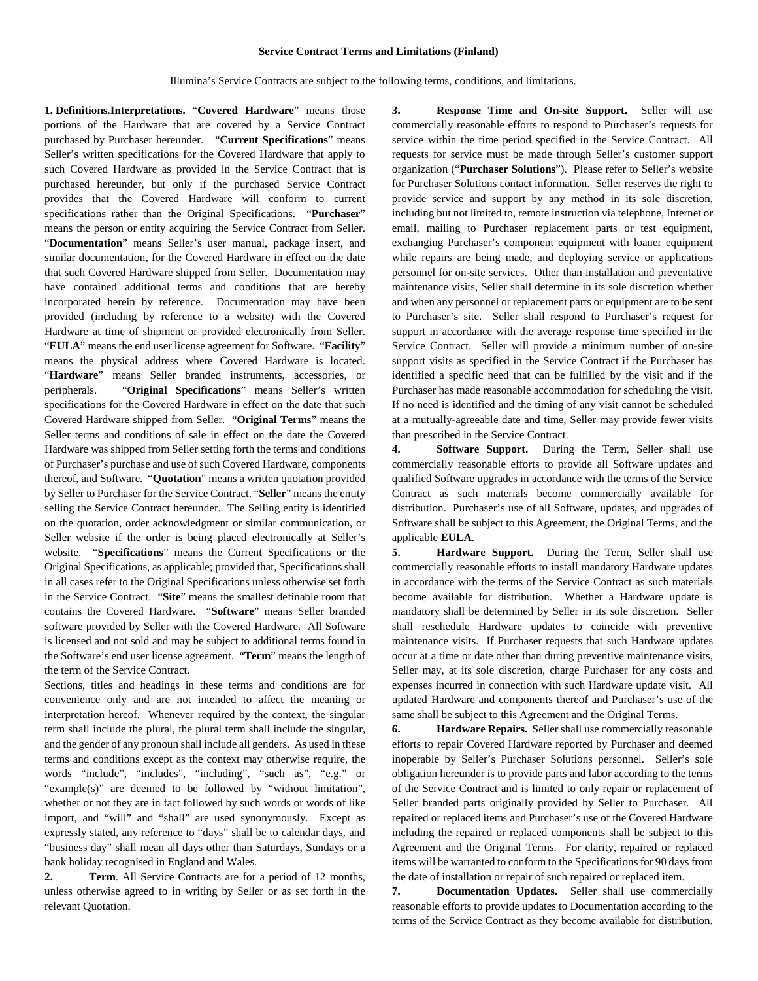## **Service Contract Terms and Limitations (Finland)**

Illumina's Service Contracts are subject to the following terms, conditions, and limitations.

**1. Definitions**.**Interpretations.** "**Covered Hardware**" means those portions of the Hardware that are covered by a Service Contract purchased by Purchaser hereunder. "**Current Specifications**" means Seller's written specifications for the Covered Hardware that apply to such Covered Hardware as provided in the Service Contract that is purchased hereunder, but only if the purchased Service Contract provides that the Covered Hardware will conform to current specifications rather than the Original Specifications. "**Purchaser**" means the person or entity acquiring the Service Contract from Seller. "**Documentation**" means Seller's user manual, package insert, and similar documentation, for the Covered Hardware in effect on the date that such Covered Hardware shipped from Seller. Documentation may have contained additional terms and conditions that are hereby incorporated herein by reference. Documentation may have been provided (including by reference to a website) with the Covered Hardware at time of shipment or provided electronically from Seller. "**EULA**" means the end user license agreement for Software. "**Facility**" means the physical address where Covered Hardware is located. "**Hardware**" means Seller branded instruments, accessories, or peripherals. "**Original Specifications**" means Seller's written specifications for the Covered Hardware in effect on the date that such Covered Hardware shipped from Seller. "**Original Terms**" means the Seller terms and conditions of sale in effect on the date the Covered Hardware was shipped from Seller setting forth the terms and conditions of Purchaser's purchase and use of such Covered Hardware, components thereof, and Software. "**Quotation**" means a written quotation provided by Seller to Purchaser for the Service Contract. "**Seller**" means the entity selling the Service Contract hereunder. The Selling entity is identified on the quotation, order acknowledgment or similar communication, or Seller website if the order is being placed electronically at Seller's website. "**Specifications**" means the Current Specifications or the Original Specifications, as applicable; provided that, Specifications shall in all cases refer to the Original Specifications unless otherwise set forth in the Service Contract. "**Site**" means the smallest definable room that contains the Covered Hardware. "**Software**" means Seller branded software provided by Seller with the Covered Hardware. All Software is licensed and not sold and may be subject to additional terms found in the Software's end user license agreement. "**Term**" means the length of the term of the Service Contract.

Sections, titles and headings in these terms and conditions are for convenience only and are not intended to affect the meaning or interpretation hereof. Whenever required by the context, the singular term shall include the plural, the plural term shall include the singular, and the gender of any pronoun shall include all genders. As used in these terms and conditions except as the context may otherwise require, the words "include", "includes", "including", "such as", "e.g." or "example(s)" are deemed to be followed by "without limitation", whether or not they are in fact followed by such words or words of like import, and "will" and "shall" are used synonymously. Except as expressly stated, any reference to "days" shall be to calendar days, and "business day" shall mean all days other than Saturdays, Sundays or a bank holiday recognised in England and Wales.

**2. Term**. All Service Contracts are for a period of 12 months, unless otherwise agreed to in writing by Seller or as set forth in the relevant Quotation.

**3. Response Time and On-site Support.** Seller will use commercially reasonable efforts to respond to Purchaser's requests for service within the time period specified in the Service Contract. All requests for service must be made through Seller's customer support organization ("**Purchaser Solutions**"). Please refer to Seller's website for Purchaser Solutions contact information. Seller reserves the right to provide service and support by any method in its sole discretion, including but not limited to, remote instruction via telephone, Internet or email, mailing to Purchaser replacement parts or test equipment, exchanging Purchaser's component equipment with loaner equipment while repairs are being made, and deploying service or applications personnel for on-site services. Other than installation and preventative maintenance visits, Seller shall determine in its sole discretion whether and when any personnel or replacement parts or equipment are to be sent to Purchaser's site. Seller shall respond to Purchaser's request for support in accordance with the average response time specified in the Service Contract. Seller will provide a minimum number of on-site support visits as specified in the Service Contract if the Purchaser has identified a specific need that can be fulfilled by the visit and if the Purchaser has made reasonable accommodation for scheduling the visit. If no need is identified and the timing of any visit cannot be scheduled at a mutually-agreeable date and time, Seller may provide fewer visits than prescribed in the Service Contract.

**4. Software Support.** During the Term, Seller shall use commercially reasonable efforts to provide all Software updates and qualified Software upgrades in accordance with the terms of the Service Contract as such materials become commercially available for distribution. Purchaser's use of all Software, updates, and upgrades of Software shall be subject to this Agreement, the Original Terms, and the applicable **EULA**.

**5. Hardware Support.** During the Term, Seller shall use commercially reasonable efforts to install mandatory Hardware updates in accordance with the terms of the Service Contract as such materials become available for distribution. Whether a Hardware update is mandatory shall be determined by Seller in its sole discretion. Seller shall reschedule Hardware updates to coincide with preventive maintenance visits. If Purchaser requests that such Hardware updates occur at a time or date other than during preventive maintenance visits, Seller may, at its sole discretion, charge Purchaser for any costs and expenses incurred in connection with such Hardware update visit. All updated Hardware and components thereof and Purchaser's use of the same shall be subject to this Agreement and the Original Terms.

**6. Hardware Repairs.** Seller shall use commercially reasonable efforts to repair Covered Hardware reported by Purchaser and deemed inoperable by Seller's Purchaser Solutions personnel. Seller's sole obligation hereunder is to provide parts and labor according to the terms of the Service Contract and is limited to only repair or replacement of Seller branded parts originally provided by Seller to Purchaser. All repaired or replaced items and Purchaser's use of the Covered Hardware including the repaired or replaced components shall be subject to this Agreement and the Original Terms. For clarity, repaired or replaced items will be warranted to conform to the Specifications for 90 days from the date of installation or repair of such repaired or replaced item.

**7. Documentation Updates.** Seller shall use commercially reasonable efforts to provide updates to Documentation according to the terms of the Service Contract as they become available for distribution.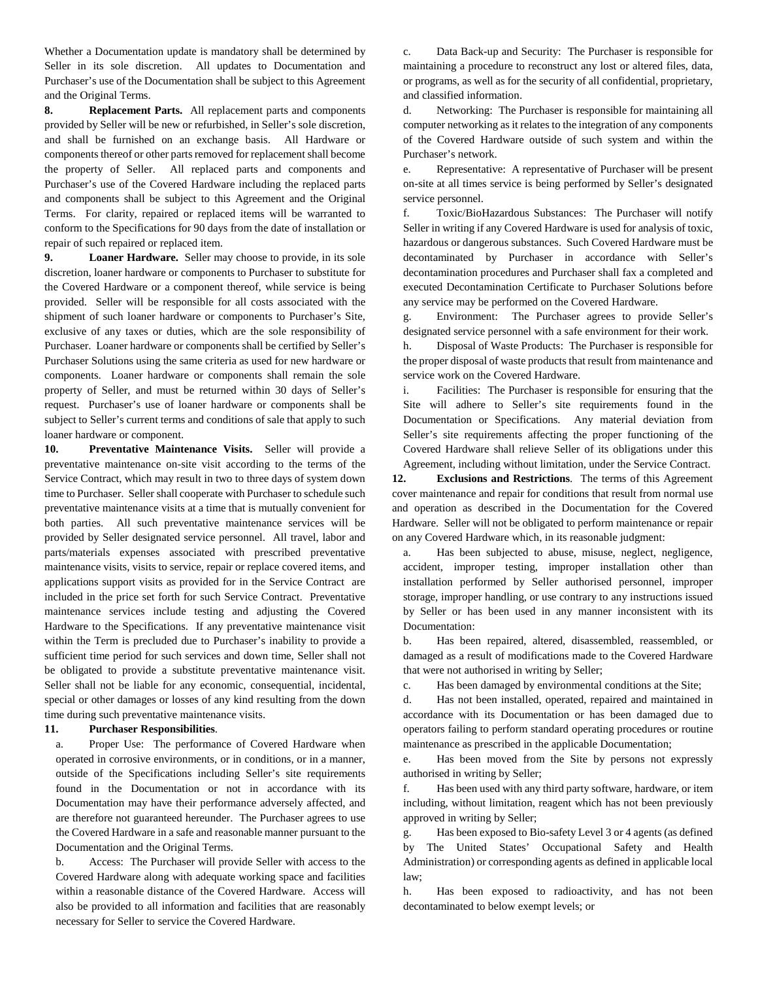Whether a Documentation update is mandatory shall be determined by Seller in its sole discretion. All updates to Documentation and Purchaser's use of the Documentation shall be subject to this Agreement and the Original Terms.

**8. Replacement Parts.** All replacement parts and components provided by Seller will be new or refurbished, in Seller's sole discretion, and shall be furnished on an exchange basis. All Hardware or components thereof or other parts removed for replacement shall become the property of Seller. All replaced parts and components and Purchaser's use of the Covered Hardware including the replaced parts and components shall be subject to this Agreement and the Original Terms. For clarity, repaired or replaced items will be warranted to conform to the Specifications for 90 days from the date of installation or repair of such repaired or replaced item.

**9. Loaner Hardware.** Seller may choose to provide, in its sole discretion, loaner hardware or components to Purchaser to substitute for the Covered Hardware or a component thereof, while service is being provided. Seller will be responsible for all costs associated with the shipment of such loaner hardware or components to Purchaser's Site, exclusive of any taxes or duties, which are the sole responsibility of Purchaser. Loaner hardware or components shall be certified by Seller's Purchaser Solutions using the same criteria as used for new hardware or components. Loaner hardware or components shall remain the sole property of Seller, and must be returned within 30 days of Seller's request. Purchaser's use of loaner hardware or components shall be subject to Seller's current terms and conditions of sale that apply to such loaner hardware or component.

**10. Preventative Maintenance Visits.** Seller will provide a preventative maintenance on-site visit according to the terms of the Service Contract, which may result in two to three days of system down time to Purchaser. Seller shall cooperate with Purchaser to schedule such preventative maintenance visits at a time that is mutually convenient for both parties. All such preventative maintenance services will be provided by Seller designated service personnel. All travel, labor and parts/materials expenses associated with prescribed preventative maintenance visits, visits to service, repair or replace covered items, and applications support visits as provided for in the Service Contract are included in the price set forth for such Service Contract. Preventative maintenance services include testing and adjusting the Covered Hardware to the Specifications. If any preventative maintenance visit within the Term is precluded due to Purchaser's inability to provide a sufficient time period for such services and down time, Seller shall not be obligated to provide a substitute preventative maintenance visit. Seller shall not be liable for any economic, consequential, incidental, special or other damages or losses of any kind resulting from the down time during such preventative maintenance visits.

## **11. Purchaser Responsibilities**.

a. Proper Use: The performance of Covered Hardware when operated in corrosive environments, or in conditions, or in a manner, outside of the Specifications including Seller's site requirements found in the Documentation or not in accordance with its Documentation may have their performance adversely affected, and are therefore not guaranteed hereunder. The Purchaser agrees to use the Covered Hardware in a safe and reasonable manner pursuant to the Documentation and the Original Terms.

b. Access: The Purchaser will provide Seller with access to the Covered Hardware along with adequate working space and facilities within a reasonable distance of the Covered Hardware. Access will also be provided to all information and facilities that are reasonably necessary for Seller to service the Covered Hardware.

c. Data Back-up and Security: The Purchaser is responsible for maintaining a procedure to reconstruct any lost or altered files, data, or programs, as well as for the security of all confidential, proprietary, and classified information.

d. Networking: The Purchaser is responsible for maintaining all computer networking as it relates to the integration of any components of the Covered Hardware outside of such system and within the Purchaser's network.

e. Representative: A representative of Purchaser will be present on-site at all times service is being performed by Seller's designated service personnel.

f. Toxic/BioHazardous Substances: The Purchaser will notify Seller in writing if any Covered Hardware is used for analysis of toxic, hazardous or dangerous substances. Such Covered Hardware must be decontaminated by Purchaser in accordance with Seller's decontamination procedures and Purchaser shall fax a completed and executed Decontamination Certificate to Purchaser Solutions before any service may be performed on the Covered Hardware.

g. Environment: The Purchaser agrees to provide Seller's designated service personnel with a safe environment for their work.

h. Disposal of Waste Products: The Purchaser is responsible for the proper disposal of waste products that result from maintenance and service work on the Covered Hardware.

i. Facilities: The Purchaser is responsible for ensuring that the Site will adhere to Seller's site requirements found in the Documentation or Specifications. Any material deviation from Seller's site requirements affecting the proper functioning of the Covered Hardware shall relieve Seller of its obligations under this Agreement, including without limitation, under the Service Contract.

**12. Exclusions and Restrictions**. The terms of this Agreement cover maintenance and repair for conditions that result from normal use and operation as described in the Documentation for the Covered Hardware. Seller will not be obligated to perform maintenance or repair on any Covered Hardware which, in its reasonable judgment:

a. Has been subjected to abuse, misuse, neglect, negligence, accident, improper testing, improper installation other than installation performed by Seller authorised personnel, improper storage, improper handling, or use contrary to any instructions issued by Seller or has been used in any manner inconsistent with its Documentation:

b. Has been repaired, altered, disassembled, reassembled, or damaged as a result of modifications made to the Covered Hardware that were not authorised in writing by Seller;

c. Has been damaged by environmental conditions at the Site;

d. Has not been installed, operated, repaired and maintained in accordance with its Documentation or has been damaged due to operators failing to perform standard operating procedures or routine maintenance as prescribed in the applicable Documentation;

e. Has been moved from the Site by persons not expressly authorised in writing by Seller;

f. Has been used with any third party software, hardware, or item including, without limitation, reagent which has not been previously approved in writing by Seller;

g. Has been exposed to Bio-safety Level 3 or 4 agents (as defined by The United States' Occupational Safety and Health Administration) or corresponding agents as defined in applicable local law;

h. Has been exposed to radioactivity, and has not been decontaminated to below exempt levels; or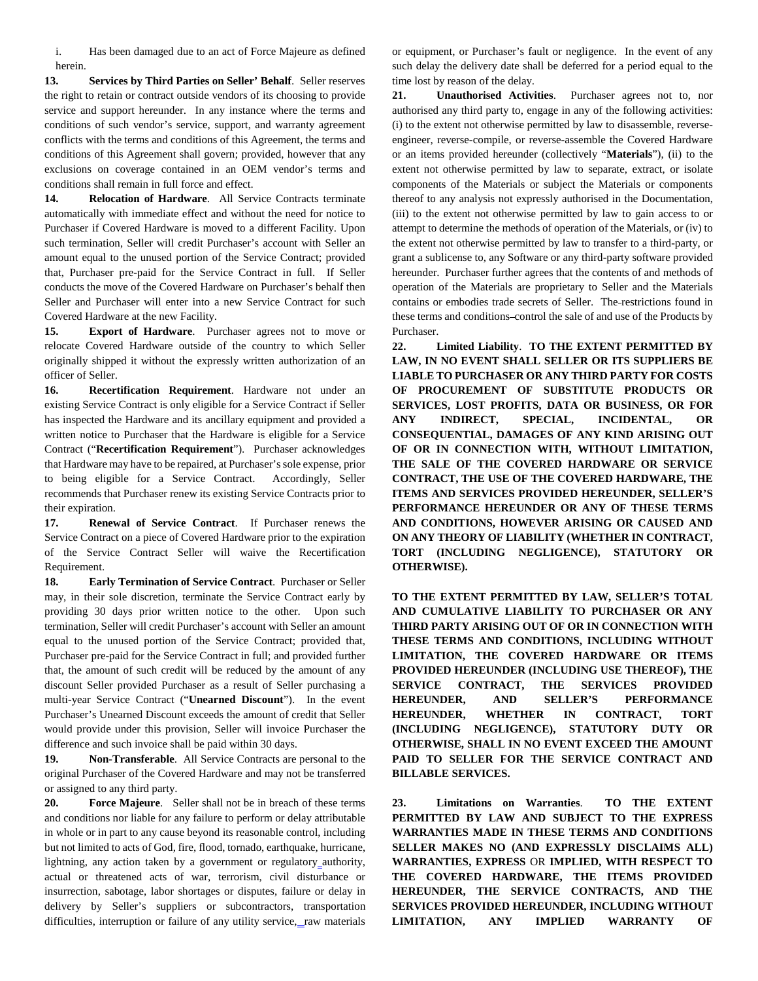i. Has been damaged due to an act of Force Majeure as defined herein.

**13. Services by Third Parties on Seller' Behalf**. Seller reserves the right to retain or contract outside vendors of its choosing to provide service and support hereunder. In any instance where the terms and conditions of such vendor's service, support, and warranty agreement conflicts with the terms and conditions of this Agreement, the terms and conditions of this Agreement shall govern; provided, however that any exclusions on coverage contained in an OEM vendor's terms and conditions shall remain in full force and effect.

**14. Relocation of Hardware**. All Service Contracts terminate automatically with immediate effect and without the need for notice to Purchaser if Covered Hardware is moved to a different Facility. Upon such termination, Seller will credit Purchaser's account with Seller an amount equal to the unused portion of the Service Contract; provided that, Purchaser pre-paid for the Service Contract in full. If Seller conducts the move of the Covered Hardware on Purchaser's behalf then Seller and Purchaser will enter into a new Service Contract for such Covered Hardware at the new Facility.

**15. Export of Hardware**. Purchaser agrees not to move or relocate Covered Hardware outside of the country to which Seller originally shipped it without the expressly written authorization of an officer of Seller.

**16. Recertification Requirement**. Hardware not under an existing Service Contract is only eligible for a Service Contract if Seller has inspected the Hardware and its ancillary equipment and provided a written notice to Purchaser that the Hardware is eligible for a Service Contract ("**Recertification Requirement**"). Purchaser acknowledges that Hardware may have to be repaired, at Purchaser's sole expense, prior to being eligible for a Service Contract. Accordingly, Seller recommends that Purchaser renew its existing Service Contracts prior to their expiration.

**17. Renewal of Service Contract**. If Purchaser renews the Service Contract on a piece of Covered Hardware prior to the expiration of the Service Contract Seller will waive the Recertification Requirement.

**18. Early Termination of Service Contract**. Purchaser or Seller may, in their sole discretion, terminate the Service Contract early by providing 30 days prior written notice to the other. Upon such termination, Seller will credit Purchaser's account with Seller an amount equal to the unused portion of the Service Contract; provided that, Purchaser pre-paid for the Service Contract in full; and provided further that, the amount of such credit will be reduced by the amount of any discount Seller provided Purchaser as a result of Seller purchasing a multi-year Service Contract ("**Unearned Discount**"). In the event Purchaser's Unearned Discount exceeds the amount of credit that Seller would provide under this provision, Seller will invoice Purchaser the difference and such invoice shall be paid within 30 days.

**19. Non**-**Transferable**. All Service Contracts are personal to the original Purchaser of the Covered Hardware and may not be transferred or assigned to any third party.

**20. Force Majeure**. Seller shall not be in breach of these terms and conditions nor liable for any failure to perform or delay attributable in whole or in part to any cause beyond its reasonable control, including but not limited to acts of God, fire, flood, tornado, earthquake, hurricane, lightning, any action taken by a government or regulatory authority, actual or threatened acts of war, terrorism, civil disturbance or insurrection, sabotage, labor shortages or disputes, failure or delay in delivery by Seller's suppliers or subcontractors, transportation difficulties, interruption or failure of any utility service, raw materials or equipment, or Purchaser's fault or negligence. In the event of any such delay the delivery date shall be deferred for a period equal to the time lost by reason of the delay.

**21. Unauthorised Activities**. Purchaser agrees not to, nor authorised any third party to, engage in any of the following activities: (i) to the extent not otherwise permitted by law to disassemble, reverseengineer, reverse-compile, or reverse-assemble the Covered Hardware or an items provided hereunder (collectively "**Materials**"), (ii) to the extent not otherwise permitted by law to separate, extract, or isolate components of the Materials or subject the Materials or components thereof to any analysis not expressly authorised in the Documentation, (iii) to the extent not otherwise permitted by law to gain access to or attempt to determine the methods of operation of the Materials, or (iv) to the extent not otherwise permitted by law to transfer to a third-party, or grant a sublicense to, any Software or any third-party software provided hereunder. Purchaser further agrees that the contents of and methods of operation of the Materials are proprietary to Seller and the Materials contains or embodies trade secrets of Seller. The restrictions found in these terms and conditions-control the sale of and use of the Products by Purchaser.

**22. Limited Liability**. **TO THE EXTENT PERMITTED BY LAW, IN NO EVENT SHALL SELLER OR ITS SUPPLIERS BE LIABLE TO PURCHASER OR ANY THIRD PARTY FOR COSTS OF PROCUREMENT OF SUBSTITUTE PRODUCTS OR SERVICES, LOST PROFITS, DATA OR BUSINESS, OR FOR ANY INDIRECT, SPECIAL, INCIDENTAL, OR CONSEQUENTIAL, DAMAGES OF ANY KIND ARISING OUT OF OR IN CONNECTION WITH, WITHOUT LIMITATION, THE SALE OF THE COVERED HARDWARE OR SERVICE CONTRACT, THE USE OF THE COVERED HARDWARE, THE ITEMS AND SERVICES PROVIDED HEREUNDER, SELLER'S PERFORMANCE HEREUNDER OR ANY OF THESE TERMS AND CONDITIONS, HOWEVER ARISING OR CAUSED AND ON ANY THEORY OF LIABILITY (WHETHER IN CONTRACT, TORT (INCLUDING NEGLIGENCE), STATUTORY OR OTHERWISE).**

**TO THE EXTENT PERMITTED BY LAW, SELLER'S TOTAL AND CUMULATIVE LIABILITY TO PURCHASER OR ANY THIRD PARTY ARISING OUT OF OR IN CONNECTION WITH THESE TERMS AND CONDITIONS, INCLUDING WITHOUT LIMITATION, THE COVERED HARDWARE OR ITEMS PROVIDED HEREUNDER (INCLUDING USE THEREOF), THE SERVICE CONTRACT, THE SERVICES PROVIDED HEREUNDER, AND SELLER'S PERFORMANCE HEREUNDER, WHETHER IN CONTRACT, TORT (INCLUDING NEGLIGENCE), STATUTORY DUTY OR OTHERWISE, SHALL IN NO EVENT EXCEED THE AMOUNT PAID TO SELLER FOR THE SERVICE CONTRACT AND BILLABLE SERVICES.** 

**23. Limitations on Warranties**. **TO THE EXTENT PERMITTED BY LAW AND SUBJECT TO THE EXPRESS WARRANTIES MADE IN THESE TERMS AND CONDITIONS SELLER MAKES NO (AND EXPRESSLY DISCLAIMS ALL) WARRANTIES, EXPRESS** OR **IMPLIED, WITH RESPECT TO THE COVERED HARDWARE, THE ITEMS PROVIDED HEREUNDER, THE SERVICE CONTRACTS, AND THE SERVICES PROVIDED HEREUNDER, INCLUDING WITHOUT LIMITATION, ANY IMPLIED WARRANTY OF**